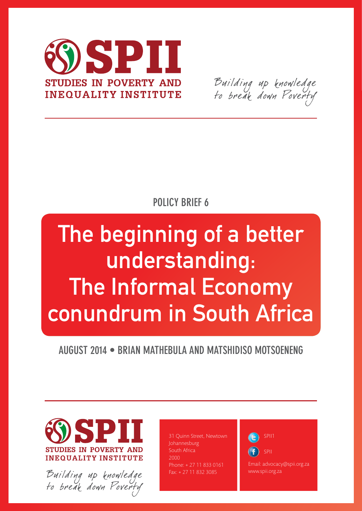

Building up knowledge<br>Fo break down Poverfy

**POLICY BRIEF 6**

# The beginning of a better understanding: The Informal Economy conundrum in South Africa

## **AUGUST 2014 • BRIAN MATHEBULA AND MATSHIDISO MOTSOENENG**



Building up hnowledge<br>to breah down Poverty

31 Quinn Street, Newtown Johannesburg South Africa 2000 Phone: + 27 11 833 0161 Fax: + 27 11 832 3085

Policy Brief 6 • The beginning of a better understanding: The Informal Economy conundrum in South Africa

SPII1

SPII

Email: advocacy@spii.org.za www.spii.org.za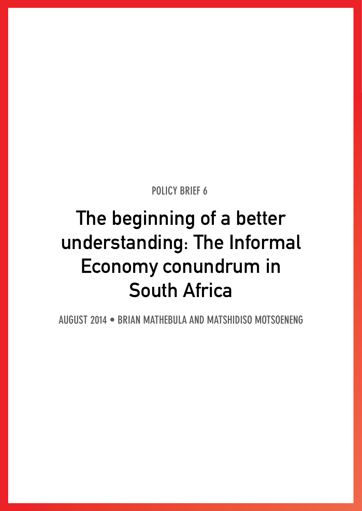**POLICY BRIEF 6** 

# The beginning of a better understanding: The Informal Economy conundrum in South Africa

**AUGUST 2014 • BRIAN MATHEBULA AND MATSHIDISO MOTSOENENG**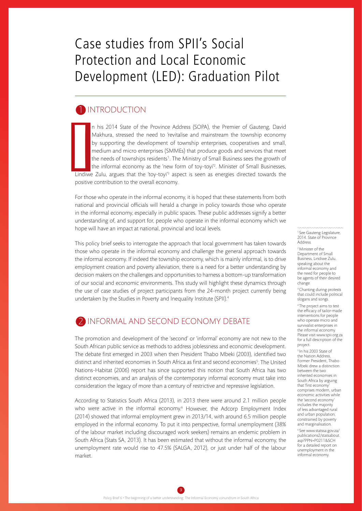# Case studies from SPII's Social Protection and Local Economic Development (LED): Graduation Pilot

### INTRODUCTION

**I**<br> **I**<br> **I**<br> **I**<br> **I**<br> **I**<br> **DOS** n his 2014 State of the Province Address (SOPA), the Premier of Gauteng, David Makhura, stressed the need to 'revitalise and mainstream the township economy by supporting the development of township enterprises, cooperatives and small, medium and micro enterprises (SMMEs) that produce goods and services that meet the needs of townships residents'1. The Ministry of Small Business sees the growth of the informal economy as the 'new form of toy-toyi'2 . Minister of Small Businesses, Lindiwe Zulu, argues that the 'toy-toyi<sup>3</sup> aspect is seen as energies directed towards the positive contribution to the overall economy.

For those who operate in the informal economy, it is hoped that these statements from both national and provincial officials will herald a change in policy towards those who operate in the informal economy, especially in public spaces. These public addresses signify a better understanding of, and support for, people who operate in the informal economy which we hope will have an impact at national, provincial and local levels.

This policy brief seeks to interrogate the approach that local government has taken towards those who operate in the informal economy and challenge the general approach towards the informal economy. If indeed the township economy, which is mainly informal, is to drive employment creation and poverty alleviation, there is a need for a better understanding by decision makers on the challenges and opportunities to harness a bottom-up transformation of our social and economic environments. This study will highlight these dynamics through the use of case studies of project participants from the 24-month project currently being undertaken by the Studies in Poverty and Inequality Institute (SPII).4

# **2** INFORMAL AND SECOND ECONOMY DEBATE

The promotion and development of the 'second' or 'informal' economy are not new to the South African public service as methods to address joblessness and economic development. The debate first emerged in 2003 when then President Thabo Mbeki (2003), identified two distinct and inherited economies in South Africa as first and second economies<sup>5</sup>. The United Nations-Habitat (2006) report has since supported this notion that South Africa has two distinct economies, and an analysis of the contemporary informal economy must take into consideration the legacy of more than a century of restrictive and repressive legislation.

According to Statistics South Africa (2013), in 2013 there were around 2.1 million people who were active in the informal economy.<sup>6</sup> However, the Adcorp Employment Index (2014) showed that informal employment grew in 2013/14, with around 6.5 million people employed in the informal economy. To put it into perspective, formal unemployment (38% of the labour market including discouraged work seekers) remains an endemic problem in South Africa (Stats SA, 2013). It has been estimated that without the informal economy, the unemployment rate would rise to 47.5% (SALGA, 2012), or just under half of the labour market.

<sup>1</sup> See Gauteng Legislature, 2014. State of Province Address.

2 Minister of the Department of Small Business, Lindiwe Zulu, speaking about the informal economy and the need for people to be agents of their desired change.

<sup>3</sup> Chanting during protests that could include political slogans and songs.

4 The project aims to test the efficacy of tailor-made interventions for people who operate micro and survivalist enterprises in the informal economy. Please visit www.spii.org.za for a full description of the project.

5 In his 2003 State of the Nation Address, Former President, Thabo Mbeki drew a distinction between the two inherited economies in South Africa by arguing that 'first economy' comprises modern, urban economic activities while the 'second economy' includes the majority of less advantaged rural and urban population, constrained by poverty and marginalisation.

6 See www.statssa.gov.za/ publications2/statsabout. asp?PPN=P0211&SCH for a detailed report on unemployment in the informal economy.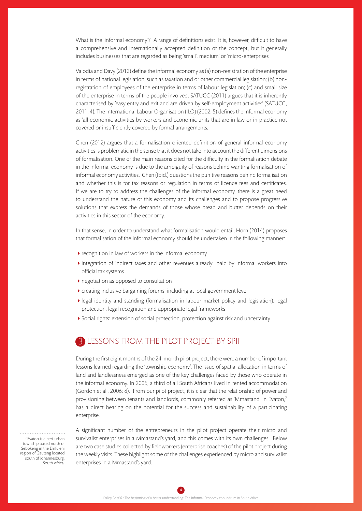What is the 'informal economy'? A range of definitions exist. It is, however, difficult to have a comprehensive and internationally accepted definition of the concept, but it generally includes businesses that are regarded as being 'small', medium' or 'micro-enterprises'.

Valodia and Davy (2012) define the informal economy as (a) non-registration of the enterprise in terms of national legislation, such as taxation and or other commercial legislation; (b) nonregistration of employees of the enterprise in terms of labour legislation; (c) and small size of the enterprise in terms of the people involved. SATUCC (2011) argues that it is inherently characterised by 'easy entry and exit and are driven by self-employment activities' (SATUCC, 2011: 4). The International Labour Organisation (ILO) (2002: 5) defines the informal economy as 'all economic activities by workers and economic units that are in law or in practice not covered or insufficiently covered by formal arrangements.

Chen (2012) argues that a formalisation-oriented definition of general informal economy activities is problematic in the sense that it does not take into account the different dimensions of formalisation. One of the main reasons cited for the difficulty in the formalisation debate in the informal economy is due to the ambiguity of reasons behind wanting formalisation of informal economy activities. Chen (Ibid.) questions the punitive reasons behind formalisation and whether this is for tax reasons or regulation in terms of licence fees and certificates. If we are to try to address the challenges of the informal economy, there is a great need to understand the nature of this economy and its challenges and to propose progressive solutions that express the demands of those whose bread and butter depends on their activities in this sector of the economy.

In that sense, in order to understand what formalisation would entail, Horn (2014) proposes that formalisation of the informal economy should be undertaken in the following manner:

- $\blacktriangleright$  recognition in law of workers in the informal economy
- $\blacktriangleright$  integration of indirect taxes and other revenues already paid by informal workers into official tax systems
- negotiation as opposed to consultation
- creating inclusive bargaining forums, including at local government level
- legal identity and standing (formalisation in labour market policy and legislation): legal protection, legal recognition and appropriate legal frameworks
- Social rights: extension of social protection, protection against risk and uncertainty.

### **3** LESSONS FROM THE PILOT PROJECT BY SPII

During the first eight months of the 24-month pilot project, there were a number of important lessons learned regarding the 'township economy'. The issue of spatial allocation in terms of land and landlessness emerged as one of the key challenges faced by those who operate in the informal economy. In 2006, a third of all South Africans lived in rented accommodation (Gordon et al., 2006: 8). From our pilot project, it is clear that the relationship of power and provisioning between tenants and landlords, commonly referred as 'Mmastand' in Evaton,7 has a direct bearing on the potential for the success and sustainability of a participating enterprise.

 7 Evaton is a peri-urban township based north of Sebokeng in the Emfuleni region of Gauteng located south of Johannesburg, South Africa.

A significant number of the entrepreneurs in the pilot project operate their micro and survivalist enterprises in a Mmastand's yard, and this comes with its own challenges. Below are two case studies collected by fieldworkers (enterprise coaches) of the pilot project during the weekly visits. These highlight some of the challenges experienced by micro and survivalist enterprises in a Mmastand's yard.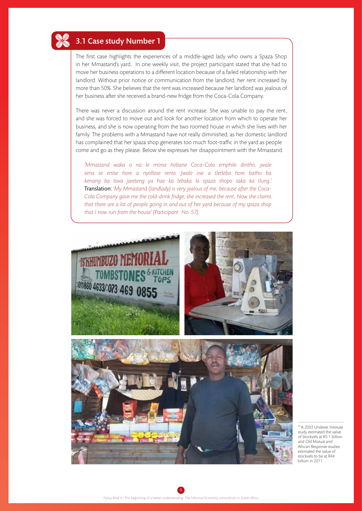

#### 3.1 Case study Number 1

The first case highlights the experiences of a middle-aged lady who owns a Spaza Shop in her Mmastand's yard. In one weekly visit, the project participant stated that she had to move her business operations to a different location because of a failed relationship with her landlord. Without prior notice or communication from the landlord, her rent increased by more than 50%. She believes that the rent was increased because her landlord was jealous of her business after she received a brand-new fridge from the Coca-Cola Company.

There was never a discussion around the rent increase. She was unable to pay the rent, and she was forced to move out and look for another location from which to operate her business, and she is now operating from the two roomed house in which she lives with her family. The problems with a Mmastand have not really diminished, as her domestic landlord has complained that her spaza shop generates too much foot-traffic in the yard as people come and go as they please. Below she expresses her disappointment with the Mmastand.

*'Mmastand waka o na le mona hobane Coca-Cola emphile dintho, jwale sena se entse hore a nyollose rente. Jwale ose a tletleba hore batho ba kenang ba tswa jareteng ya hae ka lebaka la spaza shopo saka ka tlung.'* Translation: *'My Mmastand (landlady) is very jealous of me, because after the Coca-Cola Company gave me the cold-drink fridge, she increased the rent. Now she claims that there are a lot of people going in and out of her yard because of my spaza shop that I now run from the house' (Participant No. 57).*



<sup>10</sup> A 2003 Unilever Institute study estimated the value of Stockvels at R5.1 billion and Old Mutual and African Response studies estimated the value of stockvels to be at R44 billion in 2011.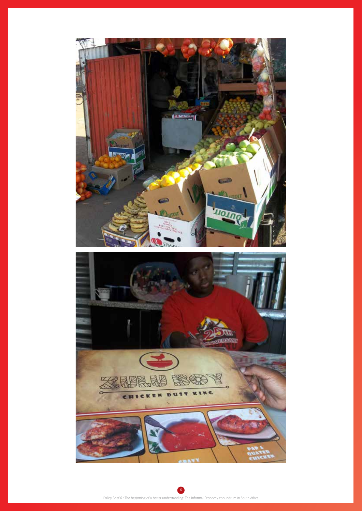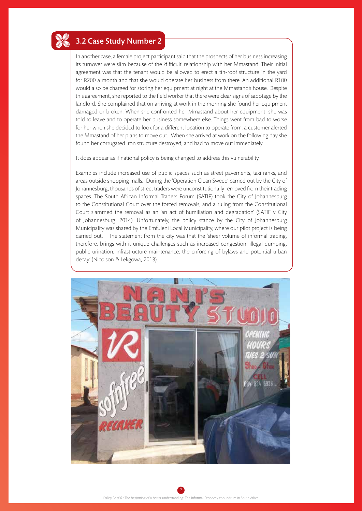

#### 3.2 Case Study Number 2

In another case, a female project participant said that the prospects of her business increasing its turnover were slim because of the 'difficult' relationship with her Mmastand. Their initial agreement was that the tenant would be allowed to erect a tin-roof structure in the yard for R200 a month and that she would operate her business from there. An additional R100 would also be charged for storing her equipment at night at the Mmastand's house. Despite this agreement, she reported to the field worker that there were clear signs of sabotage by the landlord. She complained that on arriving at work in the morning she found her equipment damaged or broken. When she confronted her Mmastand about her equipment, she was told to leave and to operate her business somewhere else. Things went from bad to worse for her when she decided to look for a different location to operate from: a customer alerted the Mmastand of her plans to move out. When she arrived at work on the following day she found her corrugated iron structure destroyed, and had to move out immediately.

It does appear as if national policy is being changed to address this vulnerability.

Examples include increased use of public spaces such as street pavements, taxi ranks, and areas outside shopping malls. During the 'Operation Clean Sweep' carried out by the City of Johannesburg, thousands of street traders were unconstitutionally removed from their trading spaces. The South African Informal Traders Forum (SATIF) took the City of Johannesburg to the Constitutional Court over the forced removals, and a ruling from the Constitutional Court slammed the removal as an 'an act of humiliation and degradation' (SATIF v City of Johannesburg, 2014). Unfortunately, the policy stance by the City of Johannesburg Municipality was shared by the Emfuleni Local Municipality, where our pilot project is being carried out. The statement from the city was that the 'sheer volume of informal trading, therefore, brings with it unique challenges such as increased congestion, illegal dumping, public urination, infrastructure maintenance, the enforcing of bylaws and potential urban decay' (Nicolson & Lekgowa, 2013).

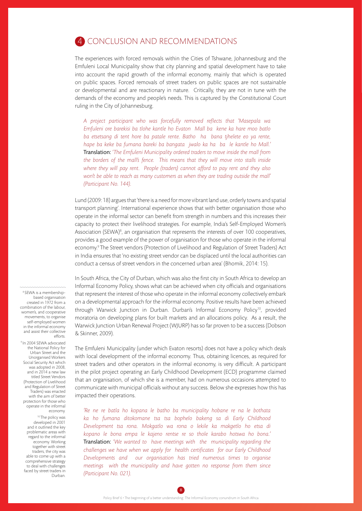### 4 CONCLUSION AND RECOMMENDATIONS

The experiences with forced removals within the Cities of Tshwane, Johannesburg and the Emfuleni Local Municipality show that city planning and spatial development have to take into account the rapid growth of the informal economy, mainly that which is operated on public spaces. Forced removals of street traders on public spaces are not sustainable or developmental and are reactionary in nature. Critically, they are not in tune with the demands of the economy and people's needs. This is captured by the Constitutional Court ruling in the City of Johannesburg.

*A project participant who was forcefully removed reflects that 'Masepala wa Emfuleni ore barekisi ba tlohe kantle ho Evaton Mall ba kene ka hare moo batlo ba etsetsang di tent hore ba patale rente. Batho ha bana tjhelete eo ya rente, hape ba keke ba fumana bareki ba bangata jwalo ka ha ba le kantle ho Mall.'*  Translation: *'The Emfuleni Municipality ordered traders to move inside the mall from the borders of the mall's fence. This means that they will move into stalls inside where they will pay rent. People (traders) cannot afford to pay rent and they also won't be able to reach as many customers as when they are trading outside the mall' (Participant No. 144).*

Lund (2009: 18) argues that 'there is a need for more vibrant land use, orderly towns and spatial transport planning'. International experience shows that with better organisation those who operate in the informal sector can benefit from strength in numbers and this increases their capacity to protect their livelihood strategies. For example, India's Self-Employed Women's Association (SEWA)<sup>8</sup>, an organisation that represents the interests of over 100 cooperatives, provides a good example of the power of organisation for those who operate in the informal economy.9 The Street vendors (Protection of Livelihood and Regulation of Street Traders) Act in India ensures that 'no existing street vendor can be displaced until the local authorities can conduct a census of street vendors in the concerned urban area' (Bhomik, 2014: 15).

 8 SEWA is a membershipbased organisation created in 1972 from a combination of the labour, women's, and cooperative movements, to organise self-employed women in the informal economy and assist their collective efforts.

9 In 2004 SEWA advocated the National Policy for Urban Street and the Unorganised Workers Social Security Act which was adopted in 2008, and in 2014 a new law titled Street Vendors (Protection of Livelihood and Regulation of Street Traders) was enacted with the aim of better protection for those who operate in the informal economy.

<sup>10</sup> The policy was developed in 2001 and it outlined the key problematic areas with regard to the informal economy. Working together with street traders, the city was able to come up with a comprehensive strategy to deal with challenges faced by street traders in Durban.

In South Africa, the City of Durban, which was also the first city in South Africa to develop an Informal Economy Policy, shows what can be achieved when city officials and organisations that represent the interest of those who operate in the informal economy collectively embark on a developmental approach for the informal economy. Positive results have been achieved through Warwick Junction in Durban. Durban's Informal Economy Policy<sup>10</sup>, provided moratoria on developing plans for built markets and an allocations policy. As a result, the Warwick Junction Urban Renewal Project (WJURP) has so far proven to be a success (Dobson & Skinner, 2009).

The Emfuleni Municipality (under which Evaton resorts) does not have a policy which deals with local development of the informal economy. Thus, obtaining licences, as required for street traders and other operators in the informal economy, is very difficult. A participant in the pilot project operating an Early Childhood Development (ECD) programme claimed that an organisation, of which she is a member, had on numerous occasions attempted to communicate with municipal officials without any success. Below she expresses how this has impacted their operations.

*'Re ne re batla ho kopana le batho ba municipality hobane re na le bothata ka ho fumana ditokomane tsa tsa bophelo bakeng sa di Early Childhood Development tsa rona. Mokgatlo wa rona o lekile ka makgetlo ho etsa di kopano le bona empa le kajeno rentse re so thole karabo hotswa ho bona.'*  Translation: *'We wanted to have meetings with the municipality regarding the challenges we have when we apply for health certificates for our Early Childhood Developments and our organisation has tried numerous times to organise meetings with the municipality and have gotten no response from them since (Participant No. 021).*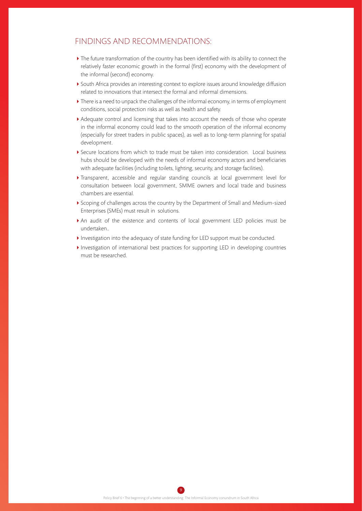#### FINDINGS AND RECOMMENDATIONS:

- The future transformation of the country has been identified with its ability to connect the relatively faster economic growth in the formal (first) economy with the development of the informal (second) economy.
- South Africa provides an interesting context to explore issues around knowledge diffusion related to innovations that intersect the formal and informal dimensions.
- ▶ There is a need to unpack the challenges of the informal economy, in terms of employment conditions, social protection risks as well as health and safety.
- Adequate control and licensing that takes into account the needs of those who operate in the informal economy could lead to the smooth operation of the informal economy (especially for street traders in public spaces), as well as to long-term planning for spatial development.
- Secure locations from which to trade must be taken into consideration. Local business hubs should be developed with the needs of informal economy actors and beneficiaries with adequate facilities (including toilets, lighting, security, and storage facilities).
- Transparent, accessible and regular standing councils at local government level for consultation between local government, SMME owners and local trade and business chambers are essential.
- Scoping of challenges across the country by the Department of Small and Medium-sized Enterprises (SMEs) must result in solutions.
- An audit of the existence and contents of local government LED policies must be undertaken..
- Investigation into the adequacy of state funding for LED support must be conducted.
- Investigation of international best practices for supporting LED in developing countries must be researched.

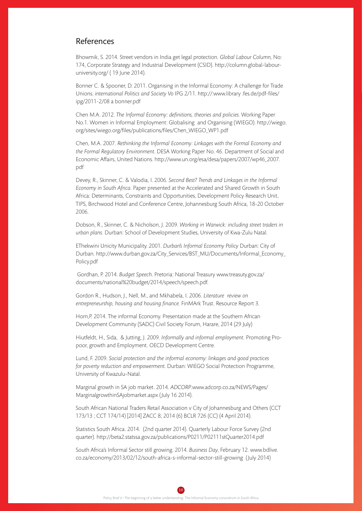#### References

Bhowmik, S. 2014. Street vendors in India get legal protection. *Global Labour Column,* No: 174, Corporate Strategy and Industrial Development (CSID). http://column.global-labouruniversity.org/ ( 19 June 2014).

Bonner C. & Spooner, D. 2011. Organising in the Informal Economy: A challenge for Trade Unions. *international Politics and Society Vo* IPG 2/11. http://:www.library .fes.de/pdf-files/ ipg/2011-2/08 a bonner.pdf

Chen M.A. 2012. *The Informal Economy: definitions, theories and policies*. Working Paper No.1. Women in Informal Employment: Globalising and Organising (WIEGO). http://wiego. org/sites/wiego.org/files/publications/files/Chen\_WIEGO\_WP1.pdf

Chen, M.A. 2007. *Rethinking the Informal Economy: Linkages with the Formal Economy and the Formal Regulatory Environment*. DESA Working Paper No. 46. Department of Social and Economic Affairs, United Nations. http://www.un.org/esa/desa/papers/2007/wp46\_2007. pdf

Devey, R., Skinner, C. & Valodia, I. 2006. *Second Best? Trends and Linkages in the Informal Economy in South Africa.* Paper presented at the Accelerated and Shared Growth in South Africa: Determinants, Constraints and Opportunities, Development Policy Research Unit, TIPS, Birchwood Hotel and Conference Centre, Johannesburg South Africa, 18-20 October 2006.

Dobson, R., Skinner, C. & Nicholson, J. 2009. *Working in Warwick: including street traders in urban plans.* Durban: School of Development Studies, University of Kwa-Zulu Natal.

EThekwini Unicity Municipality. 2001. *Durban's Informal Economy Policy* Durban: City of Durban. http://www.durban.gov.za/City\_Services/BST\_MU/Documents/Informal\_Economy\_ Policy.pdf

 Gordhan, P. 2014. *Budget Speech*. Pretoria: National Treasury www.treasuty.gov.za/ documents/national%20budget/2014/speech/speech.pdf.

Gordon R., Hudson, J., Nell, M., and Mkhabela, I. 2006. *Literature review on entrepreneurship, housing and housing finance.* FinMArk Trust. Resource Report 3.

Horn,P. 2014. The informal Economy. Presentation made at the Southern African Development Community (SADC) Civil Society Forum, Harare, 2014 (29 July)

Hiutfeldt, H., Sida, & Jutting, J. 2009. *Informally and informal employment.* Promoting Propoor, growth and Employment. OECD Development Centre.

Lund, F. 2009. *Social protection and the informal economy: linkages and good practices for poverty reduction and empowerment*. Durban: WIEGO Social Protection Programme, University of Kwazulu-Natal.

Marginal growth in SA job market. 2014. *ADCORP*.www.adcorp.co.za/NEWS/Pages/ MarginalgrowthinSAjobmarket.aspx (July 16 2014).

South African National Traders Retail Association v City of Johannesburg and Others (CCT 173/13 ; CCT 174/14) [2014] ZACC 8; 2014 (6) BCLR 726 (CC) (4 April 2014).

Statistics South Africa. 2014. (2nd quarter 2014). Quarterly Labour Force Survey (2nd quarter). http://beta2.statssa.gov.za/publications/P0211/P02111stQuarter2014.pdf

South Africa's Informal Sector still growing. 2014. *Business Day*, February 12. www.bdlive. co.za/economy/2013/02/12/south-africa-s-informal-sector-still-growing (July 2014)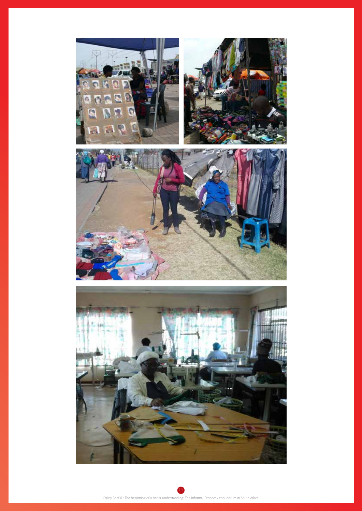